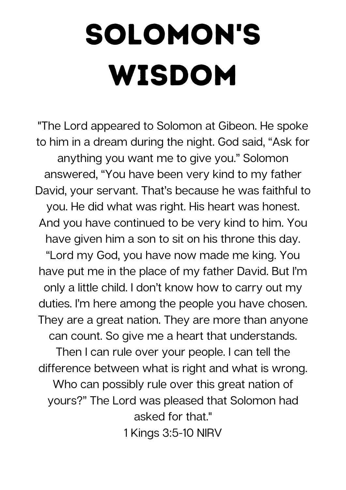## Solomon's wisdom

"The Lord appeared to Solomon at Gibeon. He spoke to him in a dream during the night. God said, "Ask for anything you want me to give you." Solomon answered, "You have been very kind to my father David, your servant. That's because he was faithful to you. He did what was right. His heart was honest. And you have continued to be very kind to him. You have given him a son to sit on his throne this day. "Lord my God, you have now made me king. You have put me in the place of my father David. But I'm only a little child. I don't know how to carry out my duties. I'm here among the people you have chosen. They are a great nation. They are more than anyone can count. So give me a heart that understands. Then I can rule over your people. I can tell the difference between what is right and what is wrong. Who can possibly rule over this great nation of yours?" The Lord was pleased that Solomon had asked for that."

1 Kings 3:5-10 NIRV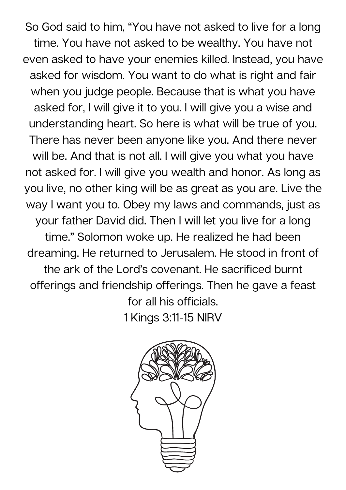So God said to him, "You have not asked to live for a long time. You have not asked to be wealthy. You have not even asked to have your enemies killed. Instead, you have asked for wisdom. You want to do what is right and fair when you judge people. Because that is what you have asked for, I will give it to you. I will give you a wise and understanding heart. So here is what will be true of you. There has never been anyone like you. And there never will be. And that is not all. I will give you what you have not asked for. I will give you wealth and honor. As long as you live, no other king will be as great as you are. Live the way I want you to. Obey my laws and commands, just as your father David did. Then I will let you live for a long time." Solomon woke up. He realized he had been dreaming. He returned to Jerusalem. He stood in front of the ark of the Lord's covenant. He sacrificed burnt offerings and friendship offerings. Then he gave a feast for all his officials. 1 Kings 3:11-15 NIRV